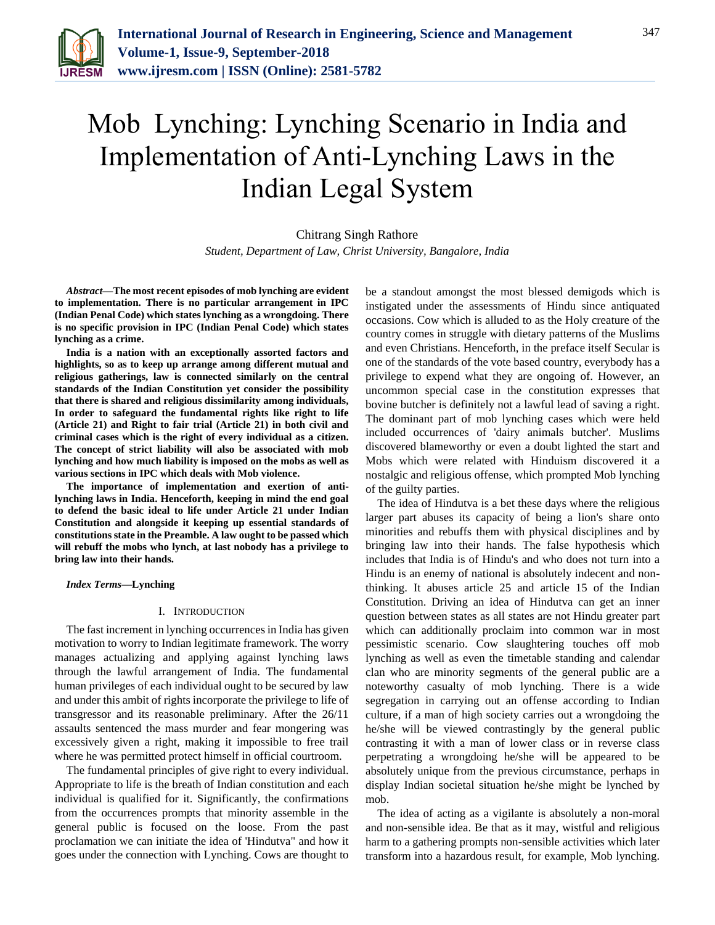

# Mob Lynching: Lynching Scenario in India and Implementation of Anti-Lynching Laws in the Indian Legal System

Chitrang Singh Rathore *Student, Department of Law, Christ University, Bangalore, India*

*Abstract***—The most recent episodes of mob lynching are evident to implementation. There is no particular arrangement in IPC (Indian Penal Code) which states lynching as a wrongdoing. There is no specific provision in IPC (Indian Penal Code) which states lynching as a crime.** 

**India is a nation with an exceptionally assorted factors and highlights, so as to keep up arrange among different mutual and religious gatherings, law is connected similarly on the central standards of the Indian Constitution yet consider the possibility that there is shared and religious dissimilarity among individuals, In order to safeguard the fundamental rights like right to life (Article 21) and Right to fair trial (Article 21) in both civil and criminal cases which is the right of every individual as a citizen. The concept of strict liability will also be associated with mob lynching and how much liability is imposed on the mobs as well as various sections in IPC which deals with Mob violence.** 

**The importance of implementation and exertion of antilynching laws in India. Henceforth, keeping in mind the end goal to defend the basic ideal to life under Article 21 under Indian Constitution and alongside it keeping up essential standards of constitutions state in the Preamble. A law ought to be passed which will rebuff the mobs who lynch, at last nobody has a privilege to bring law into their hands.**

*Index Terms***—Lynching**

## I. INTRODUCTION

The fast increment in lynching occurrences in India has given motivation to worry to Indian legitimate framework. The worry manages actualizing and applying against lynching laws through the lawful arrangement of India. The fundamental human privileges of each individual ought to be secured by law and under this ambit of rights incorporate the privilege to life of transgressor and its reasonable preliminary. After the 26/11 assaults sentenced the mass murder and fear mongering was excessively given a right, making it impossible to free trail where he was permitted protect himself in official courtroom.

The fundamental principles of give right to every individual. Appropriate to life is the breath of Indian constitution and each individual is qualified for it. Significantly, the confirmations from the occurrences prompts that minority assemble in the general public is focused on the loose. From the past proclamation we can initiate the idea of 'Hindutva" and how it goes under the connection with Lynching. Cows are thought to

be a standout amongst the most blessed demigods which is instigated under the assessments of Hindu since antiquated occasions. Cow which is alluded to as the Holy creature of the country comes in struggle with dietary patterns of the Muslims and even Christians. Henceforth, in the preface itself Secular is one of the standards of the vote based country, everybody has a privilege to expend what they are ongoing of. However, an uncommon special case in the constitution expresses that bovine butcher is definitely not a lawful lead of saving a right. The dominant part of mob lynching cases which were held included occurrences of 'dairy animals butcher'. Muslims discovered blameworthy or even a doubt lighted the start and Mobs which were related with Hinduism discovered it a nostalgic and religious offense, which prompted Mob lynching of the guilty parties.

The idea of Hindutva is a bet these days where the religious larger part abuses its capacity of being a lion's share onto minorities and rebuffs them with physical disciplines and by bringing law into their hands. The false hypothesis which includes that India is of Hindu's and who does not turn into a Hindu is an enemy of national is absolutely indecent and nonthinking. It abuses article 25 and article 15 of the Indian Constitution. Driving an idea of Hindutva can get an inner question between states as all states are not Hindu greater part which can additionally proclaim into common war in most pessimistic scenario. Cow slaughtering touches off mob lynching as well as even the timetable standing and calendar clan who are minority segments of the general public are a noteworthy casualty of mob lynching. There is a wide segregation in carrying out an offense according to Indian culture, if a man of high society carries out a wrongdoing the he/she will be viewed contrastingly by the general public contrasting it with a man of lower class or in reverse class perpetrating a wrongdoing he/she will be appeared to be absolutely unique from the previous circumstance, perhaps in display Indian societal situation he/she might be lynched by mob.

The idea of acting as a vigilante is absolutely a non-moral and non-sensible idea. Be that as it may, wistful and religious harm to a gathering prompts non-sensible activities which later transform into a hazardous result, for example, Mob lynching.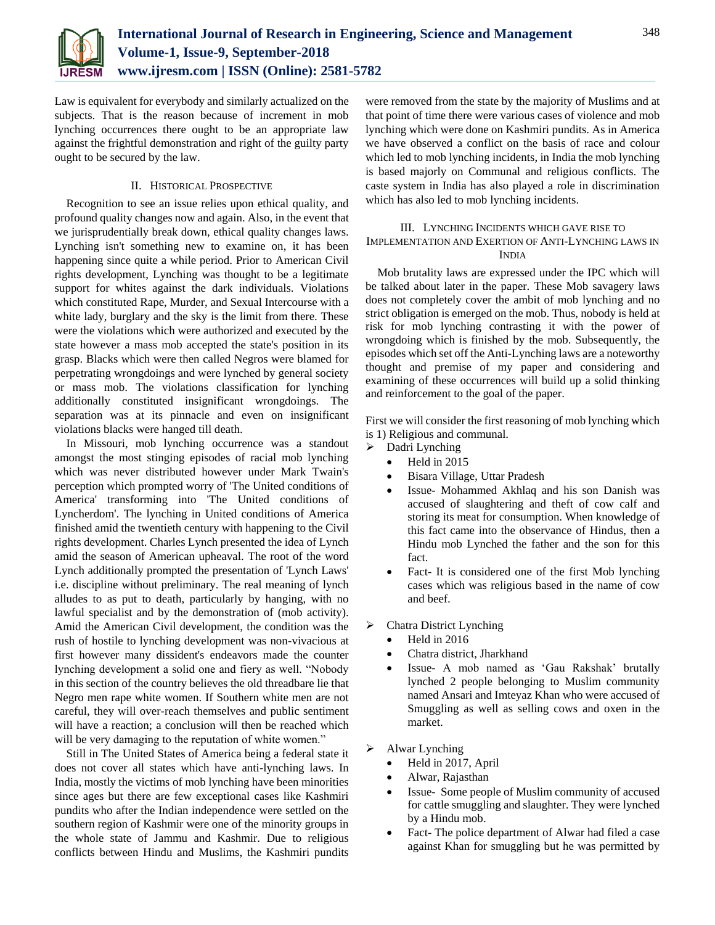

Law is equivalent for everybody and similarly actualized on the subjects. That is the reason because of increment in mob lynching occurrences there ought to be an appropriate law against the frightful demonstration and right of the guilty party ought to be secured by the law.

## II. HISTORICAL PROSPECTIVE

Recognition to see an issue relies upon ethical quality, and profound quality changes now and again. Also, in the event that we jurisprudentially break down, ethical quality changes laws. Lynching isn't something new to examine on, it has been happening since quite a while period. Prior to American Civil rights development, Lynching was thought to be a legitimate support for whites against the dark individuals. Violations which constituted Rape, Murder, and Sexual Intercourse with a white lady, burglary and the sky is the limit from there. These were the violations which were authorized and executed by the state however a mass mob accepted the state's position in its grasp. Blacks which were then called Negros were blamed for perpetrating wrongdoings and were lynched by general society or mass mob. The violations classification for lynching additionally constituted insignificant wrongdoings. The separation was at its pinnacle and even on insignificant violations blacks were hanged till death.

In Missouri, mob lynching occurrence was a standout amongst the most stinging episodes of racial mob lynching which was never distributed however under Mark Twain's perception which prompted worry of 'The United conditions of America' transforming into 'The United conditions of Lyncherdom'. The lynching in United conditions of America finished amid the twentieth century with happening to the Civil rights development. Charles Lynch presented the idea of Lynch amid the season of American upheaval. The root of the word Lynch additionally prompted the presentation of 'Lynch Laws' i.e. discipline without preliminary. The real meaning of lynch alludes to as put to death, particularly by hanging, with no lawful specialist and by the demonstration of (mob activity). Amid the American Civil development, the condition was the rush of hostile to lynching development was non-vivacious at first however many dissident's endeavors made the counter lynching development a solid one and fiery as well. "Nobody in this section of the country believes the old threadbare lie that Negro men rape white women. If Southern white men are not careful, they will over-reach themselves and public sentiment will have a reaction; a conclusion will then be reached which will be very damaging to the reputation of white women."

Still in The United States of America being a federal state it does not cover all states which have anti-lynching laws. In India, mostly the victims of mob lynching have been minorities since ages but there are few exceptional cases like Kashmiri pundits who after the Indian independence were settled on the southern region of Kashmir were one of the minority groups in the whole state of Jammu and Kashmir. Due to religious conflicts between Hindu and Muslims, the Kashmiri pundits were removed from the state by the majority of Muslims and at that point of time there were various cases of violence and mob lynching which were done on Kashmiri pundits. As in America we have observed a conflict on the basis of race and colour which led to mob lynching incidents, in India the mob lynching is based majorly on Communal and religious conflicts. The caste system in India has also played a role in discrimination which has also led to mob lynching incidents.

## III. LYNCHING INCIDENTS WHICH GAVE RISE TO IMPLEMENTATION AND EXERTION OF ANTI-LYNCHING LAWS IN INDIA

Mob brutality laws are expressed under the IPC which will be talked about later in the paper. These Mob savagery laws does not completely cover the ambit of mob lynching and no strict obligation is emerged on the mob. Thus, nobody is held at risk for mob lynching contrasting it with the power of wrongdoing which is finished by the mob. Subsequently, the episodes which set off the Anti-Lynching laws are a noteworthy thought and premise of my paper and considering and examining of these occurrences will build up a solid thinking and reinforcement to the goal of the paper.

First we will consider the first reasoning of mob lynching which is 1) Religious and communal.

- > Dadri Lynching
	- Held in 2015
	- Bisara Village, Uttar Pradesh
	- Issue- Mohammed Akhlaq and his son Danish was accused of slaughtering and theft of cow calf and storing its meat for consumption. When knowledge of this fact came into the observance of Hindus, then a Hindu mob Lynched the father and the son for this fact.
	- Fact- It is considered one of the first Mob lynching cases which was religious based in the name of cow and beef.
- $\triangleright$  Chatra District Lynching
	- Held in 2016
	- Chatra district, Jharkhand
	- Issue- A mob named as 'Gau Rakshak' brutally lynched 2 people belonging to Muslim community named Ansari and Imteyaz Khan who were accused of Smuggling as well as selling cows and oxen in the market.
- Alwar Lynching
	- Held in 2017, April
	- Alwar, Rajasthan
	- Issue- Some people of Muslim community of accused for cattle smuggling and slaughter. They were lynched by a Hindu mob.
	- Fact- The police department of Alwar had filed a case against Khan for smuggling but he was permitted by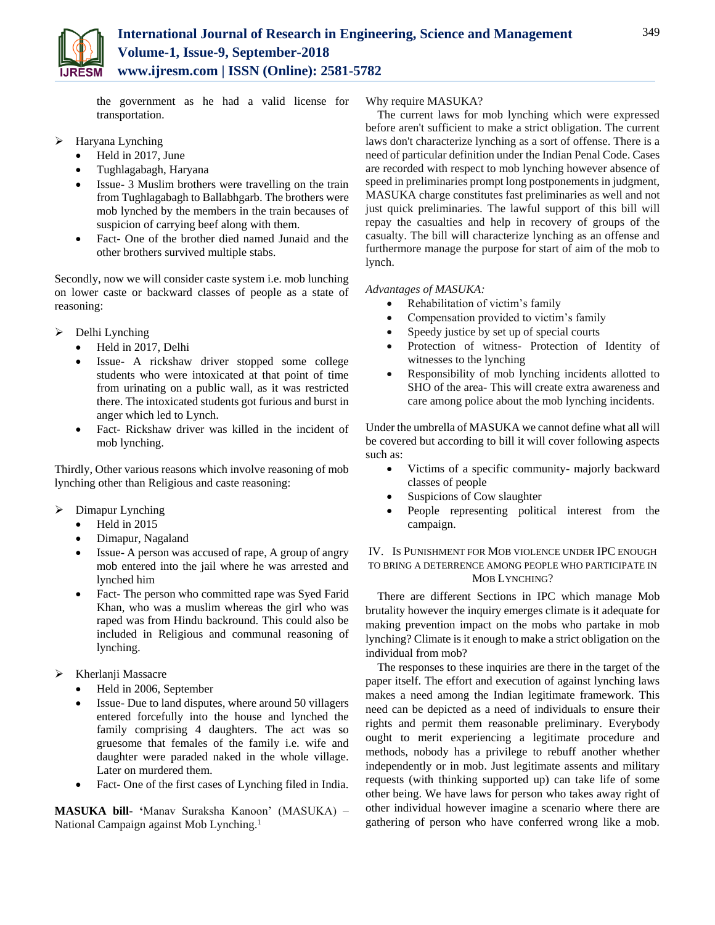

the government as he had a valid license for transportation.

- Haryana Lynching
	- Held in 2017, June
	- Tughlagabagh, Haryana
	- Issue- 3 Muslim brothers were travelling on the train from Tughlagabagh to Ballabhgarb. The brothers were mob lynched by the members in the train becauses of suspicion of carrying beef along with them.
	- Fact- One of the brother died named Junaid and the other brothers survived multiple stabs.

Secondly, now we will consider caste system i.e. mob lunching on lower caste or backward classes of people as a state of reasoning:

- Delhi Lynching
	- Held in 2017, Delhi
	- Issue- A rickshaw driver stopped some college students who were intoxicated at that point of time from urinating on a public wall, as it was restricted there. The intoxicated students got furious and burst in anger which led to Lynch.
	- Fact- Rickshaw driver was killed in the incident of mob lynching.

Thirdly, Other various reasons which involve reasoning of mob lynching other than Religious and caste reasoning:

- $\triangleright$  Dimapur Lynching
	- $\bullet$  Held in 2015
	- Dimapur, Nagaland
	- Issue- A person was accused of rape, A group of angry mob entered into the jail where he was arrested and lynched him
	- Fact- The person who committed rape was Syed Farid Khan, who was a muslim whereas the girl who was raped was from Hindu backround. This could also be included in Religious and communal reasoning of lynching.
- > Kherlanji Massacre
	- Held in 2006, September
	- Issue- Due to land disputes, where around 50 villagers entered forcefully into the house and lynched the family comprising 4 daughters. The act was so gruesome that females of the family i.e. wife and daughter were paraded naked in the whole village. Later on murdered them.
	- Fact- One of the first cases of Lynching filed in India.

**MASUKA bill- '**Manav Suraksha Kanoon' (MASUKA) – National Campaign against Mob Lynching.<sup>1</sup>

## Why require MASUKA?

The current laws for mob lynching which were expressed before aren't sufficient to make a strict obligation. The current laws don't characterize lynching as a sort of offense. There is a need of particular definition under the Indian Penal Code. Cases are recorded with respect to mob lynching however absence of speed in preliminaries prompt long postponements in judgment, MASUKA charge constitutes fast preliminaries as well and not just quick preliminaries. The lawful support of this bill will repay the casualties and help in recovery of groups of the casualty. The bill will characterize lynching as an offense and furthermore manage the purpose for start of aim of the mob to lynch.

## *Advantages of MASUKA:*

- Rehabilitation of victim's family
- Compensation provided to victim's family
- Speedy justice by set up of special courts
- Protection of witness- Protection of Identity of witnesses to the lynching
- Responsibility of mob lynching incidents allotted to SHO of the area- This will create extra awareness and care among police about the mob lynching incidents.

Under the umbrella of MASUKA we cannot define what all will be covered but according to bill it will cover following aspects such as:

- Victims of a specific community- majorly backward classes of people
- Suspicions of Cow slaughter
- People representing political interest from the campaign.

IV. IS PUNISHMENT FOR MOB VIOLENCE UNDER IPC ENOUGH TO BRING A DETERRENCE AMONG PEOPLE WHO PARTICIPATE IN MOB LYNCHING?

There are different Sections in IPC which manage Mob brutality however the inquiry emerges climate is it adequate for making prevention impact on the mobs who partake in mob lynching? Climate is it enough to make a strict obligation on the individual from mob?

The responses to these inquiries are there in the target of the paper itself. The effort and execution of against lynching laws makes a need among the Indian legitimate framework. This need can be depicted as a need of individuals to ensure their rights and permit them reasonable preliminary. Everybody ought to merit experiencing a legitimate procedure and methods, nobody has a privilege to rebuff another whether independently or in mob. Just legitimate assents and military requests (with thinking supported up) can take life of some other being. We have laws for person who takes away right of other individual however imagine a scenario where there are gathering of person who have conferred wrong like a mob.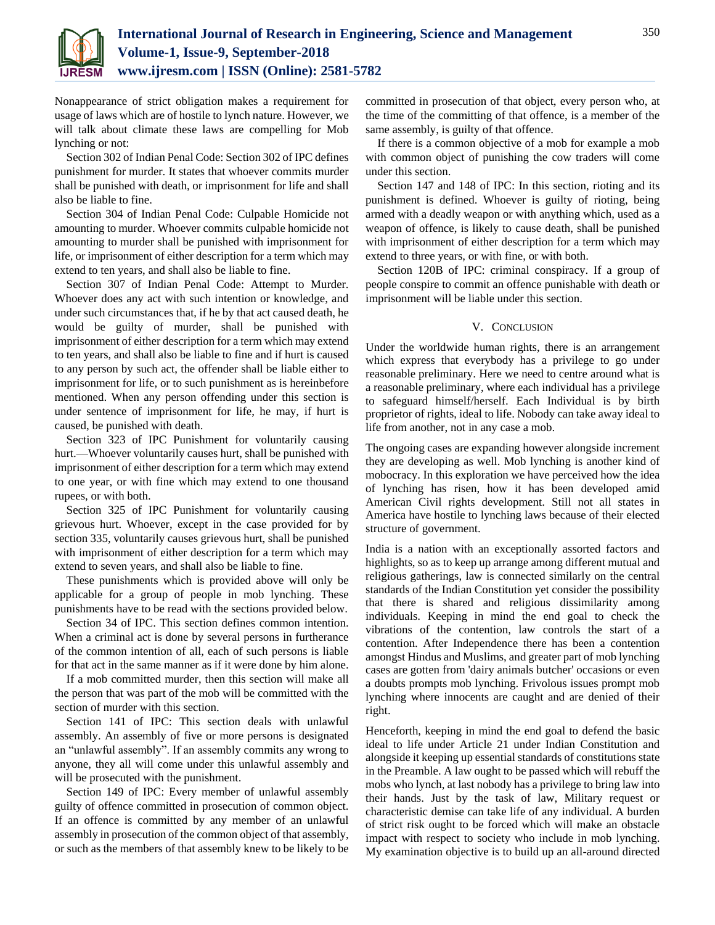

Nonappearance of strict obligation makes a requirement for usage of laws which are of hostile to lynch nature. However, we will talk about climate these laws are compelling for Mob lynching or not:

Section 302 of Indian Penal Code: Section 302 of IPC defines punishment for murder. It states that whoever commits murder shall be punished with death, or imprisonment for life and shall also be liable to fine.

Section 304 of Indian Penal Code: Culpable Homicide not amounting to murder. Whoever commits culpable homicide not amounting to murder shall be punished with imprisonment for life, or imprisonment of either description for a term which may extend to ten years, and shall also be liable to fine.

Section 307 of Indian Penal Code: Attempt to Murder. Whoever does any act with such intention or knowledge, and under such circumstances that, if he by that act caused death, he would be guilty of murder, shall be punished with imprisonment of either description for a term which may extend to ten years, and shall also be liable to fine and if hurt is caused to any person by such act, the offender shall be liable either to imprisonment for life, or to such punishment as is hereinbefore mentioned. When any person offending under this section is under sentence of imprisonment for life, he may, if hurt is caused, be punished with death.

Section 323 of IPC Punishment for voluntarily causing hurt.—Whoever voluntarily causes hurt, shall be punished with imprisonment of either description for a term which may extend to one year, or with fine which may extend to one thousand rupees, or with both.

Section 325 of IPC Punishment for voluntarily causing grievous hurt. Whoever, except in the case provided for by section 335, voluntarily causes grievous hurt, shall be punished with imprisonment of either description for a term which may extend to seven years, and shall also be liable to fine.

These punishments which is provided above will only be applicable for a group of people in mob lynching. These punishments have to be read with the sections provided below.

Section 34 of IPC. This section defines common intention. When a criminal act is done by several persons in furtherance of the common intention of all, each of such persons is liable for that act in the same manner as if it were done by him alone.

If a mob committed murder, then this section will make all the person that was part of the mob will be committed with the section of murder with this section.

Section 141 of IPC: This section deals with unlawful assembly. An assembly of five or more persons is designated an "unlawful assembly". If an assembly commits any wrong to anyone, they all will come under this unlawful assembly and will be prosecuted with the punishment.

Section 149 of IPC: Every member of unlawful assembly guilty of offence committed in prosecution of common object. If an offence is committed by any member of an unlawful assembly in prosecution of the common object of that assembly, or such as the members of that assembly knew to be likely to be committed in prosecution of that object, every person who, at the time of the committing of that offence, is a member of the same assembly, is guilty of that offence.

If there is a common objective of a mob for example a mob with common object of punishing the cow traders will come under this section.

Section 147 and 148 of IPC: In this section, rioting and its punishment is defined. Whoever is guilty of rioting, being armed with a deadly weapon or with anything which, used as a weapon of offence, is likely to cause death, shall be punished with imprisonment of either description for a term which may extend to three years, or with fine, or with both.

Section 120B of IPC: criminal conspiracy. If a group of people conspire to commit an offence punishable with death or imprisonment will be liable under this section.

#### V. CONCLUSION

Under the worldwide human rights, there is an arrangement which express that everybody has a privilege to go under reasonable preliminary. Here we need to centre around what is a reasonable preliminary, where each individual has a privilege to safeguard himself/herself. Each Individual is by birth proprietor of rights, ideal to life. Nobody can take away ideal to life from another, not in any case a mob.

The ongoing cases are expanding however alongside increment they are developing as well. Mob lynching is another kind of mobocracy. In this exploration we have perceived how the idea of lynching has risen, how it has been developed amid American Civil rights development. Still not all states in America have hostile to lynching laws because of their elected structure of government.

India is a nation with an exceptionally assorted factors and highlights, so as to keep up arrange among different mutual and religious gatherings, law is connected similarly on the central standards of the Indian Constitution yet consider the possibility that there is shared and religious dissimilarity among individuals. Keeping in mind the end goal to check the vibrations of the contention, law controls the start of a contention. After Independence there has been a contention amongst Hindus and Muslims, and greater part of mob lynching cases are gotten from 'dairy animals butcher' occasions or even a doubts prompts mob lynching. Frivolous issues prompt mob lynching where innocents are caught and are denied of their right.

Henceforth, keeping in mind the end goal to defend the basic ideal to life under Article 21 under Indian Constitution and alongside it keeping up essential standards of constitutions state in the Preamble. A law ought to be passed which will rebuff the mobs who lynch, at last nobody has a privilege to bring law into their hands. Just by the task of law, Military request or characteristic demise can take life of any individual. A burden of strict risk ought to be forced which will make an obstacle impact with respect to society who include in mob lynching. My examination objective is to build up an all-around directed